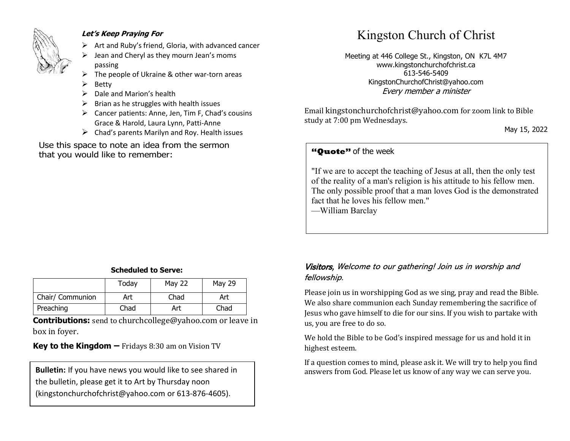

#### **Let's Keep Praying For**

- $\triangleright$  Art and Ruby's friend, Gloria, with advanced cancer
- ➢ Jean and Cheryl as they mourn Jean's moms passing
- The people of Ukraine & other war-torn areas
- **Betty**
- ➢ Dale and Marion's health
- $\triangleright$  Brian as he struggles with health issues
- ➢ Cancer patients: Anne, Jen, Tim F, Chad's cousins Grace & Harold, Laura Lynn, Patti-Anne
- $\triangleright$  Chad's parents Marilyn and Roy. Health issues

Use this space to note an idea from the sermon that you would like to remember:

# Kingston Church of Christ

Meeting at 446 College St., Kingston, ON K7L 4M7 www.kingstonchurchofchrist.ca 613-546-5409 KingstonChurchofChrist@yahoo.com Every member a minister

Email [kingstonchurchofchrist@yahoo.com](mailto:kingstonchurchofchrist@yahoo.com) for zoom link to Bible study at 7:00 pm Wednesdays.

May 15, 2022

## **"Quote"** of the week **"Quote"** of the week

 $\mathbf{h}$  honor, and pays  $\mathbf{h}$  and  $\mathbf{h}$  promises pleasure, and pays pleasure, and pays pleasure, and pays  $\mathbf{h}$ "If we are to accept the teaching of Jesus at all, then the only test of the reality of a man's religion is his attitude to his fellow men. The only possible proof that a man loves God is the demonstrated fact that he loves his fellow men."

—William Barclay

#### **Scheduled to Serve:**

|                  | Today | <b>May 22</b> | <b>May 29</b> |
|------------------|-------|---------------|---------------|
| Chair/ Communion | Art   | Chad          | Art           |
| Preaching        | Chad  | Art           | Chad          |

**Contributions:** send to [churchcollege@yahoo.com](mailto:churchcollege@yahoo.com) or leave in box in foyer.

**Key to the Kingdom –** Fridays 8:30 am on Vision TV

the bulletin, please get it to Art by Thursday noon (kingstonchurchofchrist@yahoo.com or 613-876-4605).

#### Visitors, Welcome to our gathering! Join us in worship and fellowship.

Please join us in worshipping God as we sing, pray and read the Bible. We also share communion each Sunday remembering the sacrifice of Jesus who gave himself to die for our sins. If you wish to partake with us, you are free to do so.

We hold the Bible to be God's inspired message for us and hold it in highest esteem.

If a question comes to mind, please ask it. We will try to help you find **Bulletin:** If you have news you would like to see shared in answers from God. Please let us know of any way we can serve you.